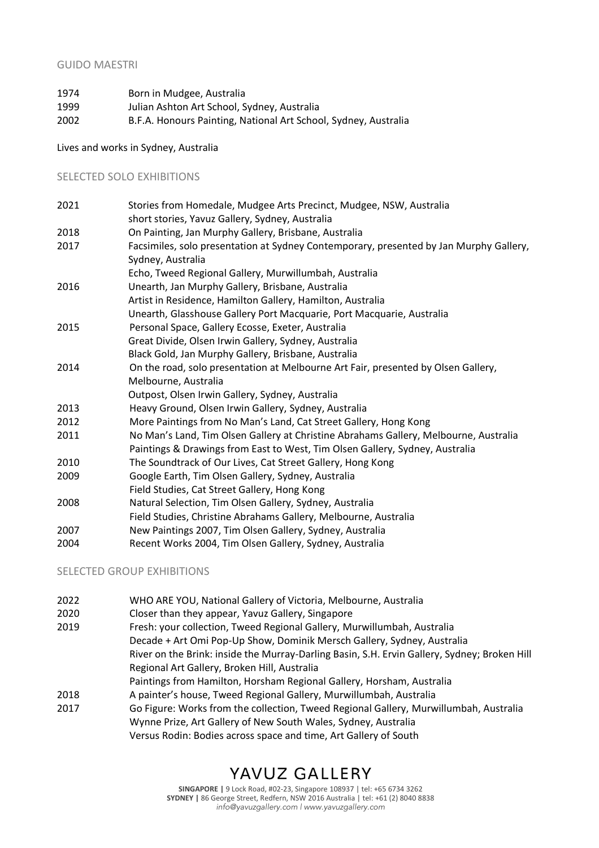## GUIDO MAESTRI

| 1974 | Born in Mudgee, Australia                                       |
|------|-----------------------------------------------------------------|
| 1999 | Julian Ashton Art School, Sydney, Australia                     |
| 2002 | B.F.A. Honours Painting, National Art School, Sydney, Australia |

Lives and works in Sydney, Australia

## SELECTED SOLO EXHIBITIONS

| 2021 | Stories from Homedale, Mudgee Arts Precinct, Mudgee, NSW, Australia                                                                                                  |
|------|----------------------------------------------------------------------------------------------------------------------------------------------------------------------|
|      | short stories, Yavuz Gallery, Sydney, Australia                                                                                                                      |
| 2018 | On Painting, Jan Murphy Gallery, Brisbane, Australia                                                                                                                 |
| 2017 | Facsimiles, solo presentation at Sydney Contemporary, presented by Jan Murphy Gallery,                                                                               |
|      | Sydney, Australia                                                                                                                                                    |
|      | Echo, Tweed Regional Gallery, Murwillumbah, Australia                                                                                                                |
| 2016 | Unearth, Jan Murphy Gallery, Brisbane, Australia                                                                                                                     |
|      | Artist in Residence, Hamilton Gallery, Hamilton, Australia                                                                                                           |
|      | Unearth, Glasshouse Gallery Port Macquarie, Port Macquarie, Australia                                                                                                |
| 2015 | Personal Space, Gallery Ecosse, Exeter, Australia                                                                                                                    |
|      | Great Divide, Olsen Irwin Gallery, Sydney, Australia                                                                                                                 |
|      | Black Gold, Jan Murphy Gallery, Brisbane, Australia                                                                                                                  |
| 2014 | On the road, solo presentation at Melbourne Art Fair, presented by Olsen Gallery,                                                                                    |
|      | Melbourne, Australia                                                                                                                                                 |
|      | Outpost, Olsen Irwin Gallery, Sydney, Australia                                                                                                                      |
| 2013 | Heavy Ground, Olsen Irwin Gallery, Sydney, Australia                                                                                                                 |
| 2012 | More Paintings from No Man's Land, Cat Street Gallery, Hong Kong                                                                                                     |
| 2011 | No Man's Land, Tim Olsen Gallery at Christine Abrahams Gallery, Melbourne, Australia<br>Paintings & Drawings from East to West, Tim Olsen Gallery, Sydney, Australia |
| 2010 | The Soundtrack of Our Lives, Cat Street Gallery, Hong Kong                                                                                                           |
|      |                                                                                                                                                                      |
| 2009 | Google Earth, Tim Olsen Gallery, Sydney, Australia                                                                                                                   |
|      | Field Studies, Cat Street Gallery, Hong Kong                                                                                                                         |
| 2008 | Natural Selection, Tim Olsen Gallery, Sydney, Australia                                                                                                              |
|      | Field Studies, Christine Abrahams Gallery, Melbourne, Australia                                                                                                      |
| 2007 | New Paintings 2007, Tim Olsen Gallery, Sydney, Australia                                                                                                             |
| 2004 | Recent Works 2004, Tim Olsen Gallery, Sydney, Australia                                                                                                              |

SELECTED GROUP EXHIBITIONS

| 2022 | WHO ARE YOU, National Gallery of Victoria, Melbourne, Australia                              |
|------|----------------------------------------------------------------------------------------------|
| 2020 | Closer than they appear, Yavuz Gallery, Singapore                                            |
| 2019 | Fresh: your collection, Tweed Regional Gallery, Murwillumbah, Australia                      |
|      | Decade + Art Omi Pop-Up Show, Dominik Mersch Gallery, Sydney, Australia                      |
|      | River on the Brink: inside the Murray-Darling Basin, S.H. Ervin Gallery, Sydney; Broken Hill |
|      | Regional Art Gallery, Broken Hill, Australia                                                 |
|      | Paintings from Hamilton, Horsham Regional Gallery, Horsham, Australia                        |
| 2018 | A painter's house, Tweed Regional Gallery, Murwillumbah, Australia                           |
| 2017 | Go Figure: Works from the collection, Tweed Regional Gallery, Murwillumbah, Australia        |
|      | Wynne Prize, Art Gallery of New South Wales, Sydney, Australia                               |
|      | Versus Rodin: Bodies across space and time, Art Gallery of South                             |

# YAVUZ GALLERY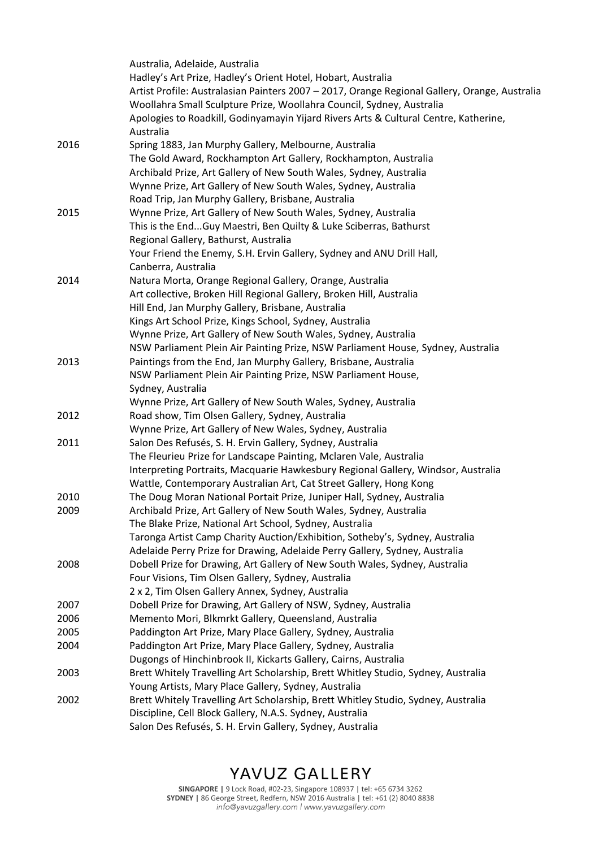|      | Australia, Adelaide, Australia                                                                                                                                |
|------|---------------------------------------------------------------------------------------------------------------------------------------------------------------|
|      | Hadley's Art Prize, Hadley's Orient Hotel, Hobart, Australia<br>Artist Profile: Australasian Painters 2007 - 2017, Orange Regional Gallery, Orange, Australia |
|      | Woollahra Small Sculpture Prize, Woollahra Council, Sydney, Australia                                                                                         |
|      | Apologies to Roadkill, Godinyamayin Yijard Rivers Arts & Cultural Centre, Katherine,                                                                          |
|      | Australia                                                                                                                                                     |
| 2016 | Spring 1883, Jan Murphy Gallery, Melbourne, Australia                                                                                                         |
|      | The Gold Award, Rockhampton Art Gallery, Rockhampton, Australia                                                                                               |
|      | Archibald Prize, Art Gallery of New South Wales, Sydney, Australia                                                                                            |
|      | Wynne Prize, Art Gallery of New South Wales, Sydney, Australia                                                                                                |
|      | Road Trip, Jan Murphy Gallery, Brisbane, Australia                                                                                                            |
| 2015 | Wynne Prize, Art Gallery of New South Wales, Sydney, Australia                                                                                                |
|      | This is the EndGuy Maestri, Ben Quilty & Luke Sciberras, Bathurst                                                                                             |
|      | Regional Gallery, Bathurst, Australia                                                                                                                         |
|      | Your Friend the Enemy, S.H. Ervin Gallery, Sydney and ANU Drill Hall,                                                                                         |
|      | Canberra, Australia                                                                                                                                           |
| 2014 | Natura Morta, Orange Regional Gallery, Orange, Australia                                                                                                      |
|      | Art collective, Broken Hill Regional Gallery, Broken Hill, Australia                                                                                          |
|      | Hill End, Jan Murphy Gallery, Brisbane, Australia                                                                                                             |
|      | Kings Art School Prize, Kings School, Sydney, Australia                                                                                                       |
|      | Wynne Prize, Art Gallery of New South Wales, Sydney, Australia                                                                                                |
|      | NSW Parliament Plein Air Painting Prize, NSW Parliament House, Sydney, Australia                                                                              |
| 2013 | Paintings from the End, Jan Murphy Gallery, Brisbane, Australia                                                                                               |
|      | NSW Parliament Plein Air Painting Prize, NSW Parliament House,                                                                                                |
|      | Sydney, Australia<br>Wynne Prize, Art Gallery of New South Wales, Sydney, Australia                                                                           |
| 2012 | Road show, Tim Olsen Gallery, Sydney, Australia                                                                                                               |
|      | Wynne Prize, Art Gallery of New Wales, Sydney, Australia                                                                                                      |
| 2011 | Salon Des Refusés, S. H. Ervin Gallery, Sydney, Australia                                                                                                     |
|      | The Fleurieu Prize for Landscape Painting, Mclaren Vale, Australia                                                                                            |
|      | Interpreting Portraits, Macquarie Hawkesbury Regional Gallery, Windsor, Australia                                                                             |
|      | Wattle, Contemporary Australian Art, Cat Street Gallery, Hong Kong                                                                                            |
| 2010 | The Doug Moran National Portait Prize, Juniper Hall, Sydney, Australia                                                                                        |
| 2009 | Archibald Prize, Art Gallery of New South Wales, Sydney, Australia                                                                                            |
|      | The Blake Prize, National Art School, Sydney, Australia                                                                                                       |
|      | Taronga Artist Camp Charity Auction/Exhibition, Sotheby's, Sydney, Australia                                                                                  |
|      | Adelaide Perry Prize for Drawing, Adelaide Perry Gallery, Sydney, Australia                                                                                   |
| 2008 | Dobell Prize for Drawing, Art Gallery of New South Wales, Sydney, Australia                                                                                   |
|      | Four Visions, Tim Olsen Gallery, Sydney, Australia                                                                                                            |
|      | 2 x 2, Tim Olsen Gallery Annex, Sydney, Australia                                                                                                             |
| 2007 | Dobell Prize for Drawing, Art Gallery of NSW, Sydney, Australia                                                                                               |
| 2006 | Memento Mori, Blkmrkt Gallery, Queensland, Australia                                                                                                          |
| 2005 | Paddington Art Prize, Mary Place Gallery, Sydney, Australia                                                                                                   |
| 2004 | Paddington Art Prize, Mary Place Gallery, Sydney, Australia                                                                                                   |
|      | Dugongs of Hinchinbrook II, Kickarts Gallery, Cairns, Australia                                                                                               |
| 2003 | Brett Whitely Travelling Art Scholarship, Brett Whitley Studio, Sydney, Australia                                                                             |
|      | Young Artists, Mary Place Gallery, Sydney, Australia                                                                                                          |
| 2002 | Brett Whitely Travelling Art Scholarship, Brett Whitley Studio, Sydney, Australia                                                                             |
|      | Discipline, Cell Block Gallery, N.A.S. Sydney, Australia                                                                                                      |
|      | Salon Des Refusés, S. H. Ervin Gallery, Sydney, Australia                                                                                                     |

# YAVUZ GALLERY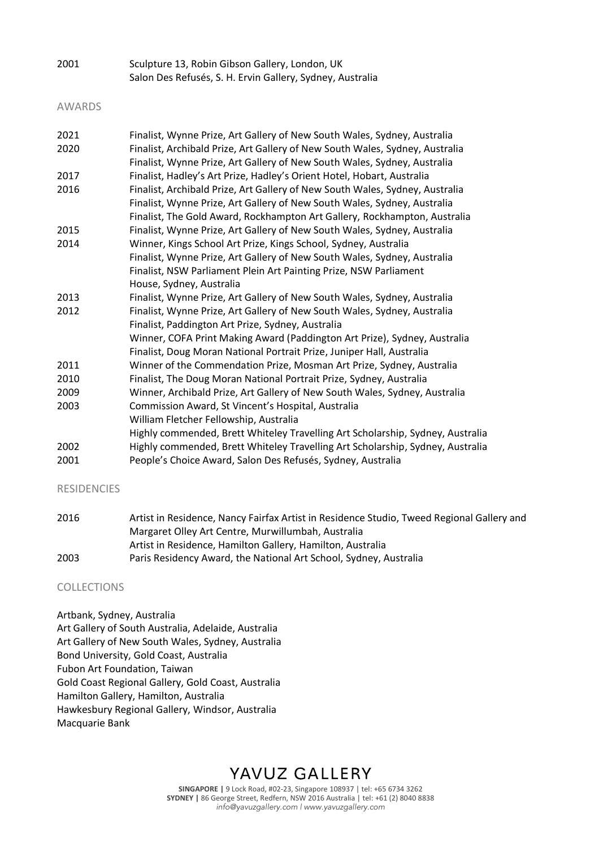| 2001 | Sculpture 13, Robin Gibson Gallery, London, UK            |
|------|-----------------------------------------------------------|
|      | Salon Des Refusés, S. H. Ervin Gallery, Sydney, Australia |

#### AWARDS

| 2021 | Finalist, Wynne Prize, Art Gallery of New South Wales, Sydney, Australia       |
|------|--------------------------------------------------------------------------------|
| 2020 | Finalist, Archibald Prize, Art Gallery of New South Wales, Sydney, Australia   |
|      | Finalist, Wynne Prize, Art Gallery of New South Wales, Sydney, Australia       |
| 2017 | Finalist, Hadley's Art Prize, Hadley's Orient Hotel, Hobart, Australia         |
| 2016 | Finalist, Archibald Prize, Art Gallery of New South Wales, Sydney, Australia   |
|      | Finalist, Wynne Prize, Art Gallery of New South Wales, Sydney, Australia       |
|      | Finalist, The Gold Award, Rockhampton Art Gallery, Rockhampton, Australia      |
| 2015 | Finalist, Wynne Prize, Art Gallery of New South Wales, Sydney, Australia       |
| 2014 | Winner, Kings School Art Prize, Kings School, Sydney, Australia                |
|      | Finalist, Wynne Prize, Art Gallery of New South Wales, Sydney, Australia       |
|      | Finalist, NSW Parliament Plein Art Painting Prize, NSW Parliament              |
|      | House, Sydney, Australia                                                       |
| 2013 | Finalist, Wynne Prize, Art Gallery of New South Wales, Sydney, Australia       |
| 2012 | Finalist, Wynne Prize, Art Gallery of New South Wales, Sydney, Australia       |
|      | Finalist, Paddington Art Prize, Sydney, Australia                              |
|      | Winner, COFA Print Making Award (Paddington Art Prize), Sydney, Australia      |
|      | Finalist, Doug Moran National Portrait Prize, Juniper Hall, Australia          |
| 2011 | Winner of the Commendation Prize, Mosman Art Prize, Sydney, Australia          |
| 2010 | Finalist, The Doug Moran National Portrait Prize, Sydney, Australia            |
| 2009 | Winner, Archibald Prize, Art Gallery of New South Wales, Sydney, Australia     |
| 2003 | Commission Award, St Vincent's Hospital, Australia                             |
|      | William Fletcher Fellowship, Australia                                         |
|      | Highly commended, Brett Whiteley Travelling Art Scholarship, Sydney, Australia |
| 2002 | Highly commended, Brett Whiteley Travelling Art Scholarship, Sydney, Australia |
| 2001 | People's Choice Award, Salon Des Refusés, Sydney, Australia                    |
|      |                                                                                |

### RESIDENCIES

| 2016 | Artist in Residence, Nancy Fairfax Artist in Residence Studio, Tweed Regional Gallery and |
|------|-------------------------------------------------------------------------------------------|
|      | Margaret Olley Art Centre, Murwillumbah, Australia                                        |
|      | Artist in Residence, Hamilton Gallery, Hamilton, Australia                                |
| 2003 | Paris Residency Award, the National Art School, Sydney, Australia                         |

#### COLLECTIONS

Artbank, Sydney, Australia Art Gallery of South Australia, Adelaide, Australia Art Gallery of New South Wales, Sydney, Australia Bond University, Gold Coast, Australia Fubon Art Foundation, Taiwan Gold Coast Regional Gallery, Gold Coast, Australia Hamilton Gallery, Hamilton, Australia Hawkesbury Regional Gallery, Windsor, Australia Macquarie Bank

## YAVUZ GALLERY